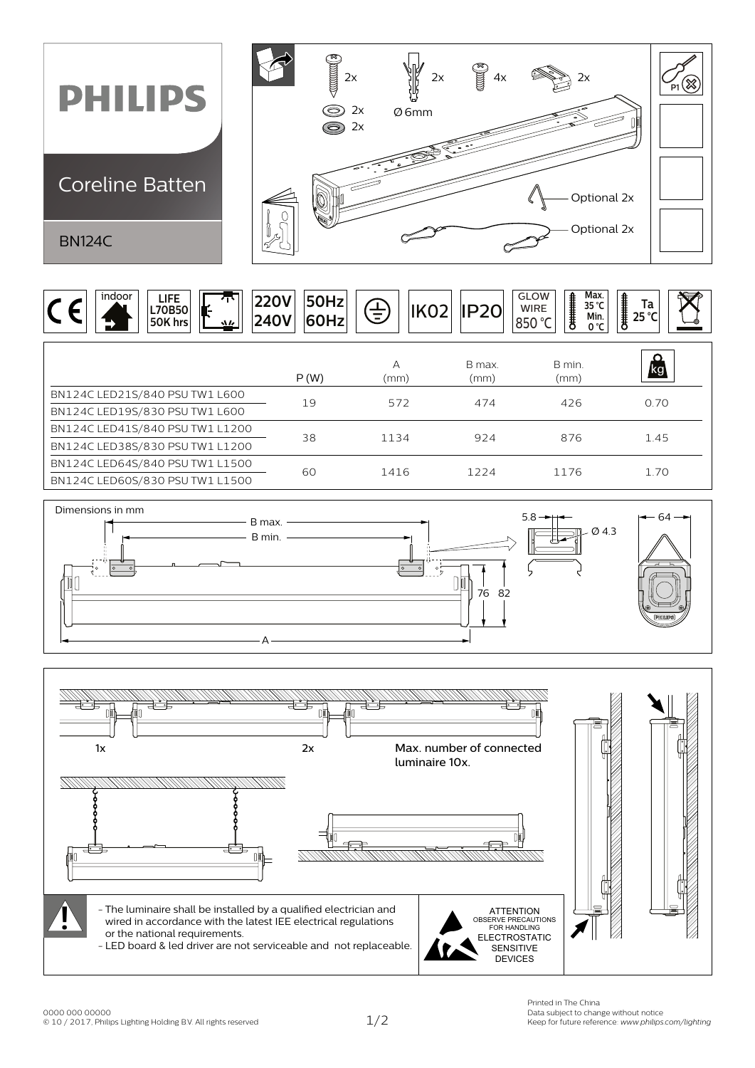

|  | indoor<br>œ<br>$\sim$ | LIFE<br>L70B50<br>50K hrs | $\Delta L$ | ZZUV<br><b>240V</b> | ENU-<br>∣5UHZ'<br><b>60Hz</b> | 耳 | $\sim$ $\sim$<br>∠◡ | GLOW<br><b>WIRE</b><br>∣850 °C | £. | Max.<br>35 °C<br>Min.<br>0 °C | ┋<br>Ta<br>$25^{\circ}$ C |  |
|--|-----------------------|---------------------------|------------|---------------------|-------------------------------|---|---------------------|--------------------------------|----|-------------------------------|---------------------------|--|
|  |                       |                           |            |                     |                               |   |                     |                                |    |                               |                           |  |

|                                 | P(W) | А<br>(mm) | B max.<br>(mm) | B min.<br>(mm) | kg   |  |
|---------------------------------|------|-----------|----------------|----------------|------|--|
| BN124C LED21S/840 PSU TW1 L600  | 19   | 572       | 474            | 426            | 0.70 |  |
| BN124C LED19S/830 PSU TW1 L600  |      |           |                |                |      |  |
| BN124C LED41S/840 PSU TW1 L1200 | 38   | 1134      | 924            | 876            | 1.45 |  |
| BN124C LED38S/830 PSU TW1 L1200 |      |           |                |                |      |  |
| BN124C LED64S/840 PSU TW1 L1500 | 60   | 1416      | 1224           | 1176           | 1.70 |  |
| BN124C LED60S/830 PSU TW1 L1500 |      |           |                |                |      |  |